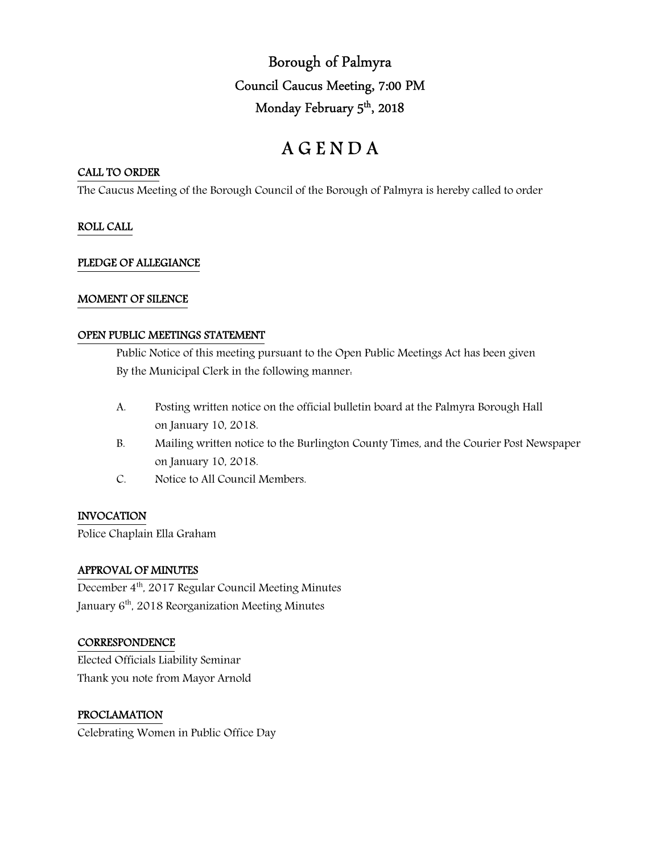Borough of Palmyra Council Caucus Meeting, 7:00 PM Monday February 5<sup>th</sup>, 2018

# A G E N D A

## CALL TO ORDER

The Caucus Meeting of the Borough Council of the Borough of Palmyra is hereby called to order

## ROLL CALL

## PLEDGE OF ALLEGIANCE

## MOMENT OF SILENCE

## OPEN PUBLIC MEETINGS STATEMENT

 Public Notice of this meeting pursuant to the Open Public Meetings Act has been given By the Municipal Clerk in the following manner:

- A. Posting written notice on the official bulletin board at the Palmyra Borough Hall on January 10, 2018.
- B. Mailing written notice to the Burlington County Times, and the Courier Post Newspaper on January 10, 2018.
- C. Notice to All Council Members.

## INVOCATION

Police Chaplain Ella Graham

## APPROVAL OF MINUTES

December 4th, 2017 Regular Council Meeting Minutes January 6<sup>th</sup>, 2018 Reorganization Meeting Minutes

## **CORRESPONDENCE**

Elected Officials Liability Seminar Thank you note from Mayor Arnold

## PROCLAMATION

Celebrating Women in Public Office Day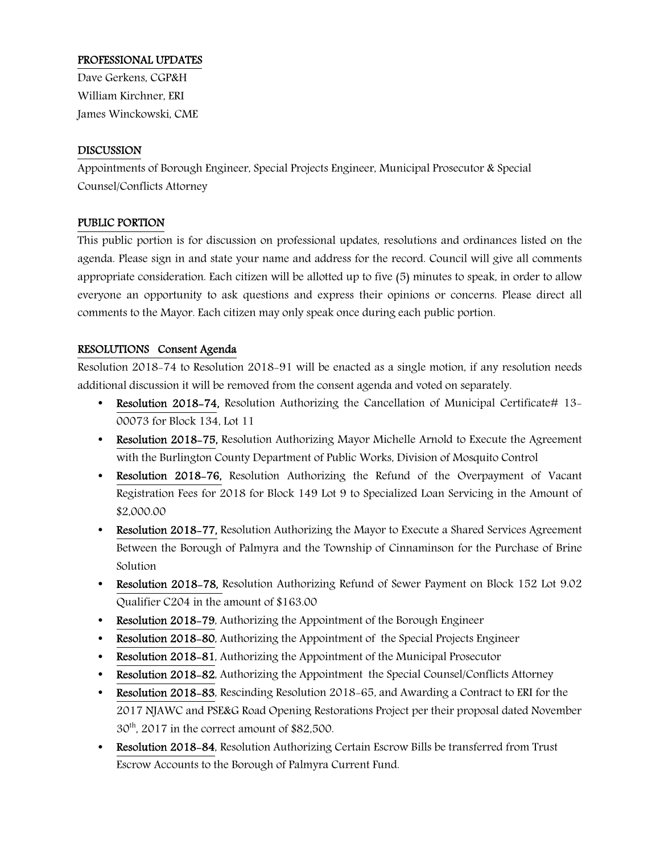## PROFESSIONAL UPDATES

Dave Gerkens, CGP&H William Kirchner, ERI James Winckowski, CME

## DISCUSSION

Appointments of Borough Engineer, Special Projects Engineer, Municipal Prosecutor & Special Counsel/Conflicts Attorney

## PUBLIC PORTION

This public portion is for discussion on professional updates, resolutions and ordinances listed on the agenda. Please sign in and state your name and address for the record. Council will give all comments appropriate consideration. Each citizen will be allotted up to five (5) minutes to speak, in order to allow everyone an opportunity to ask questions and express their opinions or concerns. Please direct all comments to the Mayor. Each citizen may only speak once during each public portion.

## RESOLUTIONS Consent Agenda

Resolution 2018-74 to Resolution 2018-91 will be enacted as a single motion, if any resolution needs additional discussion it will be removed from the consent agenda and voted on separately.

- Resolution 2018-74, Resolution Authorizing the Cancellation of Municipal Certificate# 13-00073 for Block 134, Lot 11
- Resolution 2018-75, Resolution Authorizing Mayor Michelle Arnold to Execute the Agreement with the Burlington County Department of Public Works, Division of Mosquito Control
- Resolution 2018-76, Resolution Authorizing the Refund of the Overpayment of Vacant Registration Fees for 2018 for Block 149 Lot 9 to Specialized Loan Servicing in the Amount of \$2,000.00
- Resolution 2018–77, Resolution Authorizing the Mayor to Execute a Shared Services Agreement Between the Borough of Palmyra and the Township of Cinnaminson for the Purchase of Brine Solution
- Resolution 2018-78, Resolution Authorizing Refund of Sewer Payment on Block 152 Lot 9.02 Qualifier C204 in the amount of \$163.00
- Resolution 2018–79, Authorizing the Appointment of the Borough Engineer
- Resolution 2018–80, Authorizing the Appointment of the Special Projects Engineer
- Resolution 2018-81, Authorizing the Appointment of the Municipal Prosecutor
- Resolution 2018-82, Authorizing the Appointment the Special Counsel/Conflicts Attorney
- Resolution 2018-83, Rescinding Resolution 2018-65, and Awarding a Contract to ERI for the 2017 NJAWC and PSE&G Road Opening Restorations Project per their proposal dated November  $30<sup>th</sup>$ , 2017 in the correct amount of \$82,500.
- Resolution 2018-84, Resolution Authorizing Certain Escrow Bills be transferred from Trust Escrow Accounts to the Borough of Palmyra Current Fund.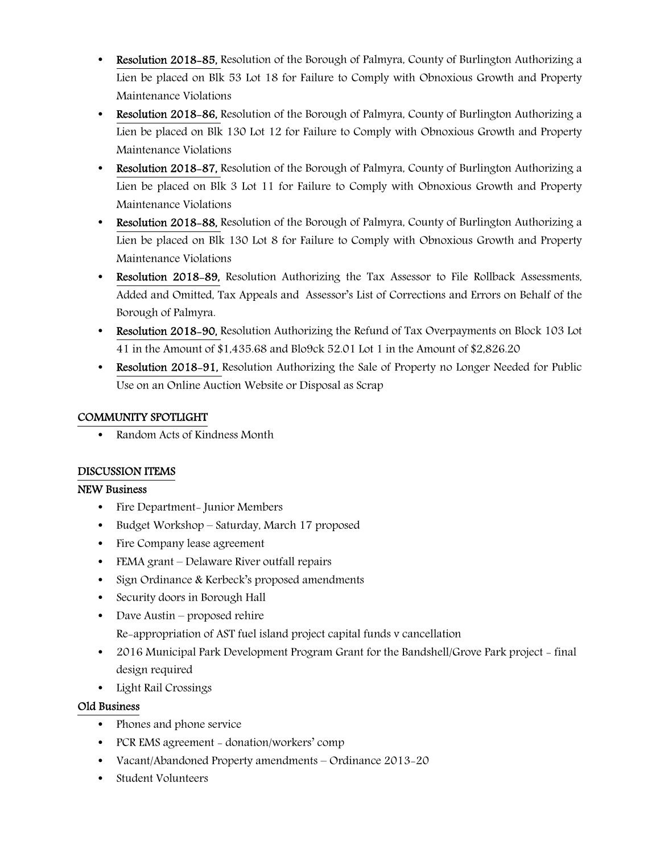- Resolution 2018–85, Resolution of the Borough of Palmyra, County of Burlington Authorizing a Lien be placed on Blk 53 Lot 18 for Failure to Comply with Obnoxious Growth and Property Maintenance Violations
- Resolution 2018–86, Resolution of the Borough of Palmyra, County of Burlington Authorizing a Lien be placed on Blk 130 Lot 12 for Failure to Comply with Obnoxious Growth and Property Maintenance Violations
- Resolution 2018–87, Resolution of the Borough of Palmyra, County of Burlington Authorizing a Lien be placed on Blk 3 Lot 11 for Failure to Comply with Obnoxious Growth and Property Maintenance Violations
- Resolution 2018–88, Resolution of the Borough of Palmyra, County of Burlington Authorizing a Lien be placed on Blk 130 Lot 8 for Failure to Comply with Obnoxious Growth and Property Maintenance Violations
- Resolution 2018-89, Resolution Authorizing the Tax Assessor to File Rollback Assessments, Added and Omitted, Tax Appeals and Assessor's List of Corrections and Errors on Behalf of the Borough of Palmyra.
- Resolution 2018-90, Resolution Authorizing the Refund of Tax Overpayments on Block 103 Lot 41 in the Amount of \$1,435.68 and Blo9ck 52.01 Lot 1 in the Amount of \$2,826.20
- Resolution 2018-91, Resolution Authorizing the Sale of Property no Longer Needed for Public Use on an Online Auction Website or Disposal as Scrap

## COMMUNITY SPOTLIGHT

• Random Acts of Kindness Month

# DISCUSSION ITEMS

## NEW Business

- Fire Department- Junior Members
- Budget Workshop Saturday, March 17 proposed
- Fire Company lease agreement
- FEMA grant Delaware River outfall repairs
- Sign Ordinance & Kerbeck's proposed amendments
- Security doors in Borough Hall
- Dave Austin proposed rehire

Re-appropriation of AST fuel island project capital funds v cancellation

- 2016 Municipal Park Development Program Grant for the Bandshell/Grove Park project final design required
- Light Rail Crossings

# Old Business

- Phones and phone service
- PCR EMS agreement donation/workers' comp
- Vacant/Abandoned Property amendments Ordinance 2013-20
- Student Volunteers